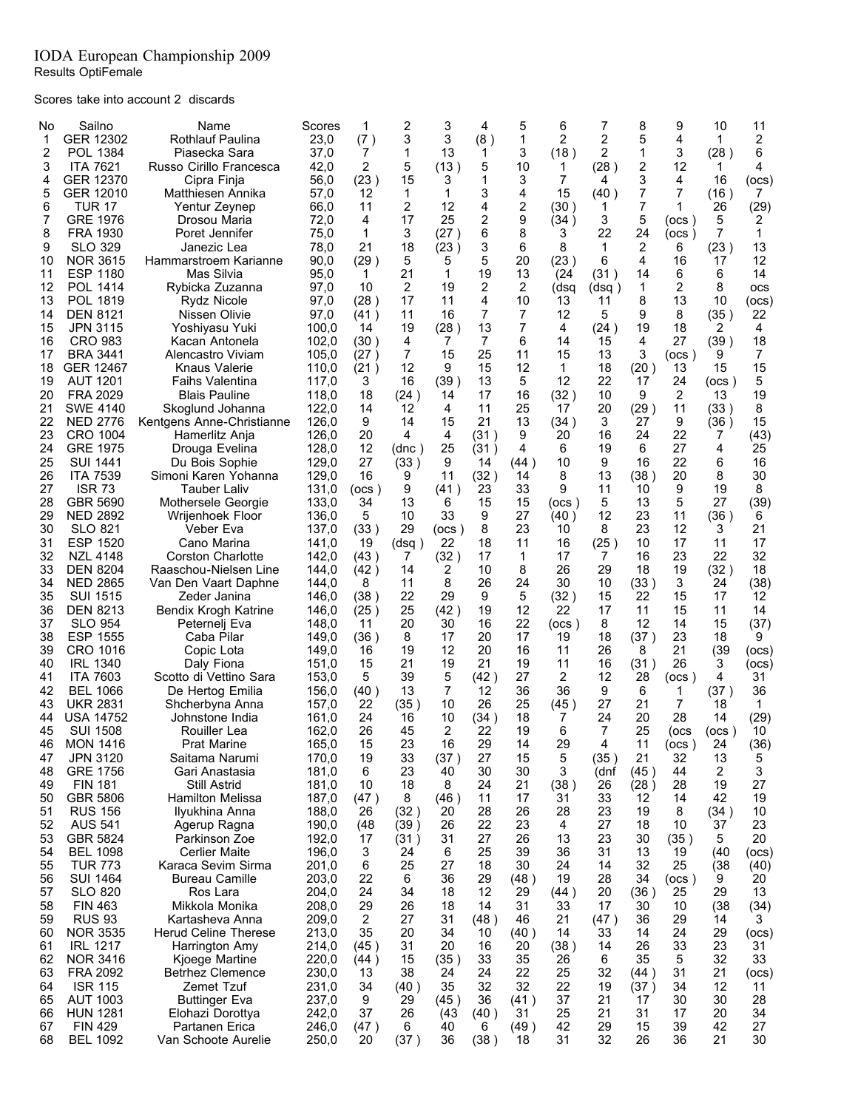## IODA European Championship 2009 Results OptiFemale

Scores take into account 2 discards

| No       | Sailno                             | Name                                           | Scores         | 1           | 2            | 3          | 4          | 5          | 6        | 7        | 8        | 9                  | 10             | 11           |
|----------|------------------------------------|------------------------------------------------|----------------|-------------|--------------|------------|------------|------------|----------|----------|----------|--------------------|----------------|--------------|
| 1        | GER 12302                          | <b>Rothlauf Paulina</b>                        | 23,0           | (7)         | 3            | 3          | (8)        | 1          | 2        | 2        | 5        | 4                  | 1              | 2            |
| 2        | POL 1384                           | Piasecka Sara                                  | 37.0           | 7           | 1            | 13         | 1          | 3          | (18)     | 2        | 1        | 3                  | (28)           | 6            |
| 3        | <b>ITA 7621</b>                    | Russo Cirillo Francesca                        | 42,0           | 2           | 5            | (13)       | 5          | 10         | 1        | (28)     | 2        | 12                 | 1              | 4            |
| 4        | GER 12370                          | Cipra Finja                                    | 56,0           | (23)        | 15           | 3          |            | 3          | 7        | 4        | 3        | 4                  | 16             | (OCS)        |
| 5        | GER 12010                          | Matthiesen Annika                              | 57,0           | 12          | 1            | 1          | 3          | 4          | 15       | (40)     | 7        | 7                  | (16)           | 7            |
| 6        | <b>TUR 17</b>                      | Yentur Zeynep                                  | 66,0           | 11          | 2            | 12         | 4          | 2          | (30)     | 1        | 7        | 1                  | 26             | (29)         |
| 7        | <b>GRE 1976</b>                    | Drosou Maria                                   | 72,0           | 4           | 17           | 25         | 2          | 9          | (34)     | 3        | 5        | (ocs )             | 5              | 2            |
| 8        | FRA 1930                           | Poret Jennifer                                 | 75,0           | 1           | 3            | (27)       | 6          | 8          | 3        | 22       | 24       | (ocs)              | $\overline{7}$ | $\mathbf{1}$ |
| 9        | <b>SLO 329</b>                     | Janezic Lea                                    | 78,0           | 21          | 18           | (23)       | 3          | 6          | 8        | 1        | 2        | 6                  | (23)           | 13           |
| 10       | <b>NOR 3615</b>                    | Hammarstroem Karianne                          | 90,0           | (29)        | 5            | 5          | 5          | 20         | (23)     | 6        | 4        | 16                 | 17             | 12           |
| 11       | <b>ESP 1180</b>                    | Mas Silvia                                     | 95,0           | 1           | 21           | 1          | 19         | 13         | (24)     | (31)     | 14       | 6                  | 6              | 14           |
| 12       | POL 1414                           | Rybicka Zuzanna                                | 97,0           | 10          | 2            | 19         | 2          | 2          | (dsq     | (dsq)    | 1        | 2                  | 8              | ocs          |
| 13       | POL 1819                           | Rydz Nicole                                    | 97,0           | (28)        | 17           | 11         | 4          | 10         | 13       | 11       | 8        | 13                 | 10             | (ocs)        |
| 14       | <b>DEN 8121</b>                    | Nissen Olivie                                  | 97,0           | (41)        | 11           | 16         | 7          | 7          | 12       | 5        | 9        | 8                  | (35)           | 22           |
| 15       | <b>JPN 3115</b>                    | Yoshiyasu Yuki                                 | 100,0          | 14          | 19           | (28)       | 13         | 7          | 4        | (24)     | 19       | 18                 | 2              | 4            |
| 16       | <b>CRO 983</b>                     | Kacan Antonela                                 | 102,0          | (30 )       | 4            | 7          | 7          | 6          | 14       | 15       | 4        | 27                 | (39)           | 18           |
| 17       | BRA 3441                           | Alencastro Viviam                              | 105,0          | (27 )       | 7            | 15         | 25         | 11         | 15       | 13       | 3        | (ocs)              | 9              | 7            |
| 18       | GER 12467                          | Knaus Valerie                                  | 110,0          | (21)        | 12           | 9          | 15         | 12         | 1        | 18       | (20)     | 13                 | 15             | 15           |
| 19       | <b>AUT 1201</b>                    | <b>Faihs Valentina</b>                         | 117,0          | 3           | 16           | (39)       | 13         | 5          | 12       | 22       | 17       | 24                 | (ocs)          | 5            |
| 20       | <b>FRA 2029</b>                    | <b>Blais Pauline</b>                           | 118,0          | 18          | (24)         | 14         | 17         | 16         | (32)     | 10       | 9        | 2                  | 13             | 19           |
| 21       | <b>SWE 4140</b>                    | Skoglund Johanna                               | 122,0          | 14          | 12           | 4          | 11         | 25         | 17       | 20       | (29)     | 11                 | (33)           | 8            |
| 22       | <b>NED 2776</b>                    | Kentgens Anne-Christianne                      | 126,0          | 9           | 14           | 15         | 21         | 13         | (34)     | 3        | 27       | 9                  | (36)           | 15           |
| 23       | <b>CRO 1004</b><br><b>GRE 1975</b> | Hamerlitz Anja                                 | 126,0          | 20          | 4            | 4          | (31)       | 9          | 20       | 16       | 24       | 22                 | 7              | (43)         |
| 24<br>25 | <b>SUI 1441</b>                    | Drouga Evelina<br>Du Bois Sophie               | 128,0<br>129,0 | 12<br>27    | (dnc)        | 25<br>9    | (31)       | 4          | 6<br>10  | 19<br>9  | 6<br>16  | 27<br>22           | 4              | 25<br>16     |
| 26       | <b>ITA 7539</b>                    | Simoni Karen Yohanna                           | 129,0          | 16          | (33)<br>9    |            | 14<br>(32) | (44)<br>14 | 8        | 13       | (38 )    | 20                 | 6<br>8         | 30           |
| 27       | ISR 73                             | Tauber Laliv                                   | 131,0          |             | 9            | 11<br>(41) | 23         | 33         | 9        | 11       | 10       | 9                  | 19             | 8            |
| 28       | GBR 5690                           | Mothersele Georgie                             | 133,0          | (ocs)<br>34 | 13           | 6          | 15         | 15         | (ocs)    | 5        | 13       | 5                  | 27             | (39)         |
| 29       | <b>NED 2892</b>                    | Wrijenhoek Floor                               | 136,0          | 5           | 10           | 33         | 9          | 27         | (40)     | 12       | 23       | 11                 | (36)           | 6            |
| 30       | <b>SLO 821</b>                     | Veber Eva                                      | 137,0          | (33)        | 29           | (ocs)      | 8          | 23         | 10       | 8        | 23       | 12                 | 3              | 21           |
| 31       | <b>ESP 1520</b>                    | Cano Marina                                    | 141,0          | 19          | (dsg)        | 22         | 18         | 11         | 16       | (25)     | 10       | 17                 | 11             | 17           |
| 32       | NZL 4148                           | Corston Charlotte                              | 142,0          | (43)        | 7            | (32)       | 17         | 1          | 17       | 7        | 16       | 23                 | 22             | 32           |
| 33       | <b>DEN 8204</b>                    | Raaschou-Nielsen Line                          | 144,0          | (42)        | 14           | 2          | 10         | 8          | 26       | 29       | 18       | 19                 | (32)           | 18           |
| 34       | <b>NED 2865</b>                    | Van Den Vaart Daphne                           | 144,0          | 8           | 11           | 8          | 26         | 24         | 30       | 10       | (33)     | 3                  | 24             | (38)         |
| 35       | <b>SUI 1515</b>                    | Zeder Janina                                   | 146,0          | (38)        | 22           | 29         | 9          | 5          | (32)     | 15       | 22       | 15                 | 17             | 12           |
| 36       | <b>DEN 8213</b>                    | Bendix Krogh Katrine                           | 146,0          | (25)        | 25           | (42)       | 19         | 12         | 22       | 17       | 11       | 15                 | 11             | 14           |
| 37       | SLO 954                            | Peternelj Eva                                  | 148,0          | 11          | 20           | 30         | 16         | 22         | (ocs)    | 8        | 12       | 14                 | 15             | (37)         |
| 38       | <b>ESP 1555</b>                    | Caba Pilar                                     | 149,0          | (36)        | 8            | 17         | 20         | 17         | 19       | 18       | (37)     | 23                 | 18             | 9            |
| 39       | CRO 1016                           | Copic Lota                                     | 149,0          | 16          | 19           | 12         | 20         | 16         | 11       | 26       | 8        | 21                 | (39)           | (ocs)        |
| 40       | <b>IRL 1340</b>                    | Daly Fiona                                     | 151,0          | 15          | 21           | 19         | 21         | 19         | 11       | 16       | (31)     | 26                 | 3              | (ocs)        |
| 41       | <b>ITA 7603</b>                    | Scotto di Vettino Sara                         | 153,0          | 5           | 39           | 5          | (42)       | 27         | 2        | 12       | 28       | (ocs)              | 4              | 31           |
| 42       | <b>BEL 1066</b>                    | De Hertog Emilia                               | 156,0          | (40)        | 13           | 7          | 12         | 36         | 36       | 9        | 6        | 1                  | (37)           | 36           |
| 43       | <b>UKR 2831</b>                    | Shcherbyna Anna                                | 157,0          | 22          | (35)         | 10         | 26         | 25         | (45)     | 27       | 21       | 7                  | 18             | 1            |
| 44       | <b>USA 14752</b>                   | Johnstone India                                | 161,0          | 24          | 16           | 10         | (34)       | 18         | 7        | 24       | 20       | 28                 | 14             | (29)         |
| 45       | <b>SUI 1508</b>                    | Rouiller Lea                                   | 162,0          | 26          | 45           | 2          | 22         | 19         | 6        | 7        | 25       | ( <sup>OCS</sup> ) | (ocs )         | 10           |
|          | 46 MON 1416                        | <b>Prat Marine</b>                             | 165,0          | 15          | 23           | 16         | 29         | 14         | 29       | 4        | 11       | (ocs)              | 24             | (36)         |
| 47       | JPN 3120                           | Saitama Narumi                                 | 170,0          | 19          | 33           | (37)       | 27         | 15         | 5        | (35 )    | 21       | 32                 | 13             | 5            |
| 48       | GRE 1756                           | Gari Anastasia                                 | 181,0          | 6           | 23           | 40         | 30         | 30         | 3        | (dnf     | (45)     | 44                 | 2              | 3            |
| 49       | <b>FIN 181</b>                     | <b>Still Astrid</b><br><b>Hamilton Melissa</b> | 181,0          | 10          | 18           | 8          | 24         | 21         | (38)     | 26       | (28)     | 28                 | 19             | 27           |
| 50       | GBR 5806                           |                                                | 187,0          | (47)        | 8            | (46)       | 11<br>28   | 17<br>26   | 31<br>28 | 33<br>23 | 12<br>19 | 14                 | 42             | 19           |
| 51       | <b>RUS 156</b><br><b>AUS 541</b>   | Ilyukhina Anna                                 | 188,0          | 26          | (32)         | 20         |            | 23         | 4        |          |          | 8                  | (34)           | 10           |
| 52<br>53 | GBR 5824                           | Agerup Ragna<br>Parkinson Zoe                  | 190,0<br>192,0 | (48)<br>17  | (39)<br>(31) | 26<br>31   | 22<br>27   | 26         | 13       | 27<br>23 | 18<br>30 | 10<br>(35)         | 37<br>5        | 23<br>20     |
| 54       | <b>BEL 1098</b>                    | <b>Cerlier Maite</b>                           | 196,0          | 3           | 24           | 6          | 25         | 39         | 36       | 31       | 13       | 19                 | (40)           | (ocs)        |
| 55       | <b>TUR 773</b>                     | Karaca Sevim Sirma                             | 201,0          | 6           | 25           | 27         | 18         | 30         | 24       | 14       | 32       | 25                 | (38)           | (40)         |
| 56       | <b>SUI 1464</b>                    | <b>Bureau Camille</b>                          | 203,0          | 22          | 6            | 36         | 29         | (48)       | 19       | 28       | 34       | (ocs)              | 9              | 20           |
| 57       | <b>SLO 820</b>                     | Ros Lara                                       | 204,0          | 24          | 34           | 18         | 12         | 29         | (44)     | 20       | (36)     | 25                 | 29             | 13           |
| 58       | <b>FIN 463</b>                     | Mikkola Monika                                 | 208,0          | 29          | 26           | 18         | 14         | 31         | 33       | 17       | 30       | 10                 | (38)           | (34)         |
| 59       | <b>RUS 93</b>                      | Kartasheva Anna                                | 209,0          | 2           | 27           | 31         | (48)       | 46         | 21       | (47)     | 36       | 29                 | 14             | 3            |
| 60       | <b>NOR 3535</b>                    | <b>Herud Celine Therese</b>                    | 213,0          | 35          | 20           | 34         | 10         | (40)       | 14       | 33       | 14       | 24                 | 29             | (ocs)        |
| 61       | <b>IRL 1217</b>                    | Harrington Amy                                 | 214,0          | (45)        | 31           | 20         | 16         | 20         | (38)     | 14       | 26       | 33                 | 23             | 31           |
| 62       | <b>NOR 3416</b>                    | Kjoege Martine                                 | 220,0          | (44)        | 15           | (35)       | 33         | 35         | 26       | 6        | 35       | 5                  | 32             | 33           |
| 63       | <b>FRA 2092</b>                    | <b>Betrhez Clemence</b>                        | 230,0          | 13          | 38           | 24         | 24         | 22         | 25       | 32       | (44)     | 31                 | 21             | (ocs)        |
| 64       | <b>ISR 115</b>                     | Zemet Tzuf                                     | 231,0          | 34          | (40)         | 35         | 32         | 32         | 22       | 19       | (37)     | 34                 | 12             | 11           |
| 65       | <b>AUT 1003</b>                    | <b>Buttinger Eva</b>                           | 237,0          | 9           | 29           | (45)       | 36         | (41)       | 37       | 21       | 17       | 30                 | 30             | 28           |
| 66       | <b>HUN 1281</b>                    | Elohazi Dorottya                               | 242,0          | 37          | 26           | (43)       | (40)       | 31         | 25       | 21       | 31       | 17                 | 20             | 34           |
| 67       | <b>FIN 429</b>                     | Partanen Erica                                 | 246,0          | (47)        | 6            | 40         | 6          | (49)       | 42       | 29       | 15       | 39                 | 42             | 27           |
| 68       | <b>BEL 1092</b>                    | Van Schoote Aurelie                            | 250,0          | 20          | (37)         | 36         | (38)       | 18         | 31       | 32       | 26       | 36                 | 21             | 30           |